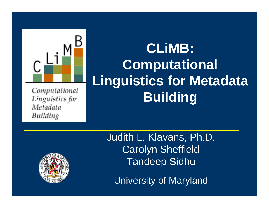

Computational Linguistics for Metadata Building

# **CLiMB: Computational Linguistics for Metadata Building**



Judith L. Klavans, Ph.D. Carolyn Sheffield Tandeep Sidhu

University of Maryland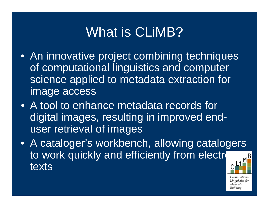# What is CLiMB?

- An innovative project combining techniques of computational linguistics and computer science applied to metadata extraction for image access
- A tool to enhance metadata records for digital images, resulting in improved enduser retrieval of images
- A cataloger's workbench, allowing catalogers to work quickly and efficiently from electron texts

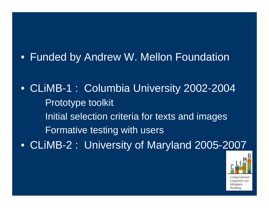### • Funded by Andrew W. Mellon Foundation

• CLiMB-1 : Columbia University 2002-2004 Prototype toolkit Initial selection criteria for texts and images Formative testing with users • CLiMB-2 : University of Maryland 2005-2007

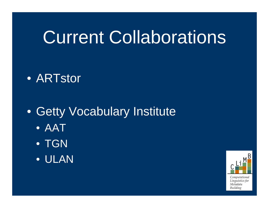# Current Collaborations

## • ARTstor

## • Getty Vocabulary Institute

- AAT
- TGN
- ULAN

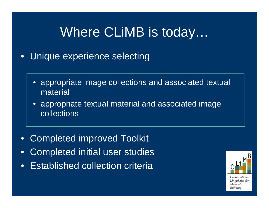# Where CLiMB is today…

- • Unique experience selecting
	- • appropriate image collections and associated textual material
	- • appropriate textual material and associated image collections
- $\bullet$ Completed improved Toolkit
- •Completed initial user studies
- $\bullet$ Established collection criteria

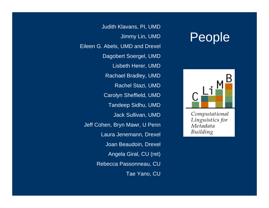## People



Computational Linguistics for Metadata Building

Judith Klavans, PI, UMD Jimmy Lin, UMD Eileen G. Abels, UMD and Drexel Dagobert Soergel, UMD Lisbeth Herer, UMD Rachael Bradley, UMD Rachel Stazi, UMD Carolyn Sheffield, UMD Tandeep Sidhu, UMD Jack Sullivan, UMD Jeff Cohen, Bryn Mawr, U Penn Laura Jenemann, Drexel Joan Beaudoin, Drexel Angela Giral, CU (ret) Rebecca Passonneau, CU Tae Yano, CU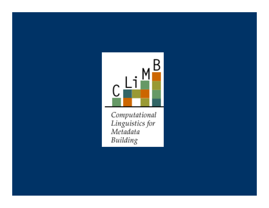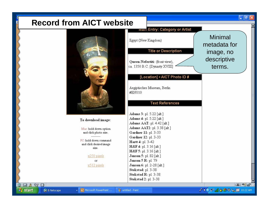#### **Record from AICT website**



#### To download image:

Mac: hold down option and click photo size.

PC: hold down command and click desired image size.

#### x250 pixels

or. x512 pixels



 $\begin{picture}(150,15) \put(0,0){\line(1,0){15}} \put(15,0){\line(1,0){15}} \put(15,0){\line(1,0){15}} \put(15,0){\line(1,0){15}} \put(15,0){\line(1,0){15}} \put(15,0){\line(1,0){15}} \put(15,0){\line(1,0){15}} \put(15,0){\line(1,0){15}} \put(15,0){\line(1,0){15}} \put(15,0){\line(1,0){15}} \put(15,0){\line(1,0){15}} \put(15,0){\line($ 

**H** start

그 나라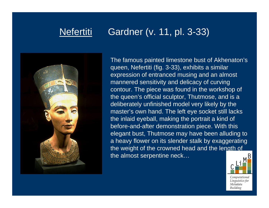### Nefertiti Gardner (v. 11, pl. 3-33)



The famous painted limestone bust of Akhenaton's queen, Nefertiti (fig. 3-33), exhibits a similar expression of entranced musing and an almost mannered sensitivity and delicacy of curving contour. The piece was found in the workshop of the queen's official sculptor, Thutmose, and is a deliberately unfinished model very likely by the master's own hand. The left eye socket still lacks the inlaid eyeball, making the portrait a kind of before-and-after demonstration piece. With this elegant bust, Thutmose may have been alluding to a heavy flower on its slender stalk by exaggerating the weight of the crowned head and the length of the almost serpentine neck…

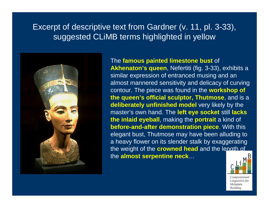#### Excerpt of descriptive text from Gardner (v. 11, pl. 3-33), suggested CLiMB terms highlighted in yellow



#### The **famous painted limestone bust** of **Akhenaton's queen**, Nefertiti (fig. 3-33), exhibits a similar expression of entranced musing and an almost mannered sensitivity and delicacy of curving contour. The piece was found in the **workshop of the queen's official sculptor, Thutmose**, and is a **deliberately unfinished model** very likely by the master's own hand. The **left eye socket** still **lacks the inlaid eyeball**, making the **portrait** a kind of **before-and-after demonstration piece**. With this elegant bust, Thutmose may have been alluding to a heavy flower on its slender stalk by exaggerating the weight of the **crowned head** and the length of the **almost serpentine neck** …

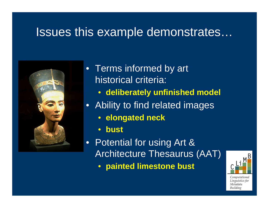## Issues this example demonstrates…



- Terms informed by art historical criteria:
	- **deliberately unfinished model**
- Ability to find related images
	- **elongated neck**
	- $\bullet$ **bust**
- Potential for using Art & Architecture Thesaurus (AAT)  $\bullet$ **painted limestone bust**

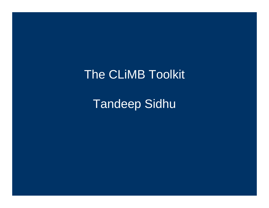## **The CLIMB Toolkit**

**Tandeep Sidhu**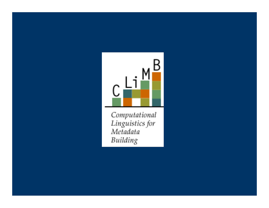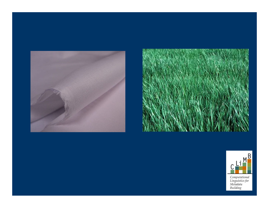





Computational<br>Linguistics for<br>Metadata<br>Building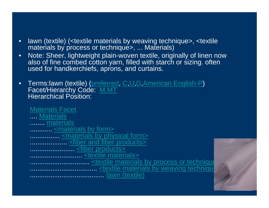- • lawn (textile) (<textile materials by weaving technique>, <textile materials by process or technique>, ... Materials)
- • Note: Sheer, lightweight plain-woven textile, originally of linen now also of fine combed cotton yarn, filled with starch or sizing. often used for handkerchiefs, aprons, and curtains.
- •Terms: lawn (textile) (preferred, C, U, D, American English-P) Facet/Hierarchy Code: M.MT Hierarchical Position:

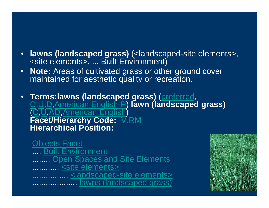- **lawns (landscaped grass)** (<landscaped-site elements>, <site elements>, ... Built Environment)
- **Note:** Areas of cultivated grass or other ground cover maintained for aesthetic quality or recreation.
- **Terms:lawns (landscaped grass)** (preferred, C,U,D,American English-P) **lawn (landscaped grass)** ( C,U,AD,American English) **Facet/Hierarchy Code:** V.RM **Hierarchical Position:**

[Objects Facet](http://www.getty.edu/vow/AATFullDisplay?find=lawn&logic=AND¬e=&page=1&subjectid=300264092) .... [Built Environment](http://www.getty.edu/vow/AATFullDisplay?find=lawn&logic=AND¬e=&page=1&subjectid=300264550) ....... <u>[Open Spaces and Site Elements](http://www.getty.edu/vow/AATFullDisplay?find=lawn&logic=AND¬e=&page=1&subjectid=300139081)</u> ............ [<site elements>](http://www.getty.edu/vow/AATFullDisplay?find=lawn&logic=AND¬e=&page=1&subjectid=300078073) ................ <u>[<landscaped-site elements>](http://www.getty.edu/vow/AATFullDisplay?find=lawn&logic=AND¬e=&page=1&subjectid=300139095)</u> .................... [lawns \(landscaped grass\)](http://www.getty.edu/vow/AATFullDisplay?find=lawn&logic=AND¬e=&page=1&subjectid=300008889)

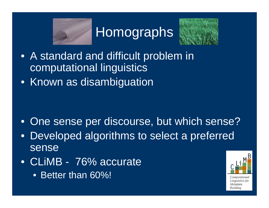

**Homographs** 



- A standard and difficult problem in computational linguistics
- Known as disambiguation

- One sense per discourse, but which sense?
- Developed algorithms to select a preferred sense
- CLiMB 76% accurate
	- Better than 60%!

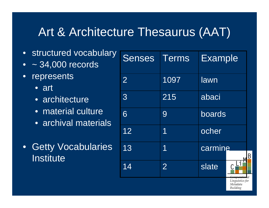## Art & Architecture Thesaurus (AAT)

- structured vocabulary
- •~ 34,000 records
- $\bullet$  represents
	- art
	- architecture
	- material culture
	- archival materials
- Getty Vocabularies Institute

| <b>Senses</b>  | <b>Terms</b>   | <b>Example</b> |
|----------------|----------------|----------------|
| $\overline{2}$ | 1097           | lawn           |
| 3              | 215            | abaci          |
| 6              | 9              | boards         |
| 12             | 1              | ocher          |
| 13             | 1              | carmine<br>B   |
| 14             | $\overline{2}$ | slate<br>wayne |

Linguistics foi Metadata Building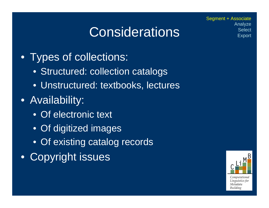# **Considerations**

• Types of collections:

- Structured: collection catalogs
- Unstructured: textbooks, lectures
- Availability:
	- Of electronic text
	- Of digitized images
	- Of existing catalog records
- Copyright issues



Segment + Associate Analyze **Select Export**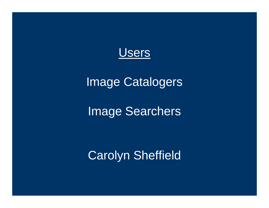

## Image Catalogers

## Image Searchers

Carolyn Sheffield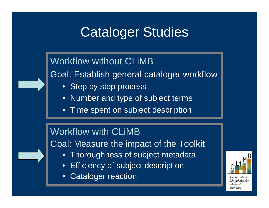# Cataloger Studies

## Workflow without CLiMBGoal: Establish general cataloger workflow

- Step by step process
- •Number and type of subject terms
- $\bullet$ Time spent on subject description

### Workflow with CLiMB

Goal: Measure the impact of the Toolkit

- •Thoroughness of subject metadata
- •Efficiency of subject description
- $\bullet$ Cataloger reaction



Computational Linguistics for Metadata Building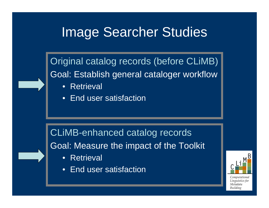## Image Searcher Studies

Original catalog records (before CLiMB) Goal: Establish general cataloger workflow

- •**Retrieval**
- $\bullet$ End user satisfaction

CLiMB-enhanced catalog records Goal: Measure the impact of the Toolkit

- •**Retrieval**
- $\bullet$ End user satisfaction

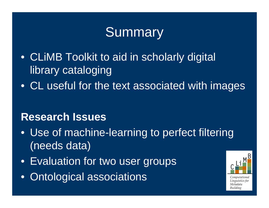# Summary

- CLiMB Toolkit to aid in scholarly digital library cataloging
- CL useful for the text associated with images

### **Research Issues**

- Use of machine-learning to perfect filtering (needs data)
- Evaluation for two user groups
- •Ontological associations

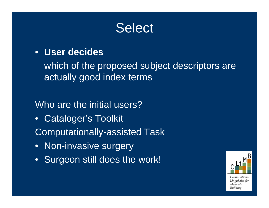## **Select**

#### • **User decides**

which of the proposed subject descriptors are actually good index terms

### Who are the initial users?

- $\bullet$ Cataloger's Toolkit
- Computationally-assisted Task
- **e** Non-invasive surgery
- Surgeon still does the work!

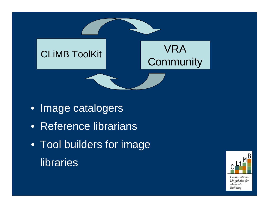

- Image catalogers
- Reference librarians
- Tool builders for image libraries

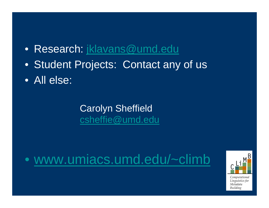- $\bullet$ Research: [jklavans@umd.edu](mailto:jklavans@umd.edu)
- •Student Projects: Contact any of us
- All else:

Carolyn Sheffield [csheffie@umd.edu](mailto:csheffie@umd.edu)

#### $\bullet$ www.umiacs.umd.edu/~climb